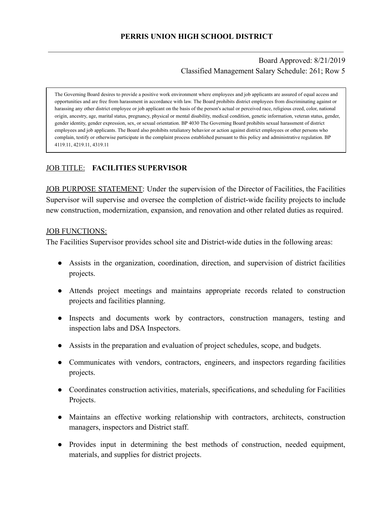Board Approved: 8/21/2019 Classified Management Salary Schedule: 261; Row 5

The Governing Board desires to provide a positive work environment where employees and job applicants are assured of equal access and opportunities and are free from harassment in accordance with law. The Board prohibits district employees from discriminating against or harassing any other district employee or job applicant on the basis of the person's actual or perceived race, religious creed, color, national origin, ancestry, age, marital status, pregnancy, physical or mental disability, medical condition, genetic information, veteran status, gender, gender identity, gender expression, sex, or sexual orientation. BP 4030 The Governing Board prohibits sexual harassment of district employees and job applicants. The Board also prohibits retaliatory behavior or action against district employees or other persons who complain, testify or otherwise participate in the complaint process established pursuant to this policy and administrative regulation. BP 4119.11, 4219.11, 4319.11

## JOB TITLE: **FACILITIES SUPERVISOR**

JOB PURPOSE STATEMENT: Under the supervision of the Director of Facilities, the Facilities Supervisor will supervise and oversee the completion of district-wide facility projects to include new construction, modernization, expansion, and renovation and other related duties as required.

#### JOB FUNCTIONS:

The Facilities Supervisor provides school site and District-wide duties in the following areas:

- Assists in the organization, coordination, direction, and supervision of district facilities projects.
- Attends project meetings and maintains appropriate records related to construction projects and facilities planning.
- Inspects and documents work by contractors, construction managers, testing and inspection labs and DSA Inspectors.
- Assists in the preparation and evaluation of project schedules, scope, and budgets.
- Communicates with vendors, contractors, engineers, and inspectors regarding facilities projects.
- Coordinates construction activities, materials, specifications, and scheduling for Facilities Projects.
- Maintains an effective working relationship with contractors, architects, construction managers, inspectors and District staff.
- Provides input in determining the best methods of construction, needed equipment, materials, and supplies for district projects.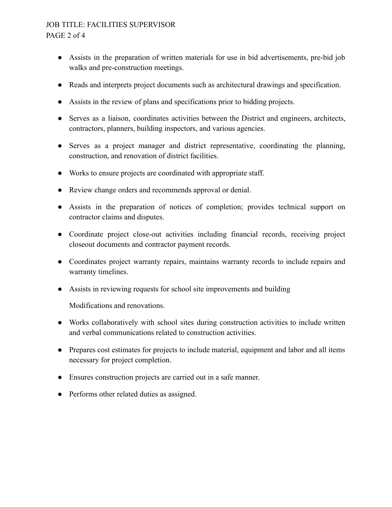## JOB TITLE: FACILITIES SUPERVISOR PAGE 2 of 4

- Assists in the preparation of written materials for use in bid advertisements, pre-bid job walks and pre-construction meetings.
- Reads and interprets project documents such as architectural drawings and specification.
- Assists in the review of plans and specifications prior to bidding projects.
- Serves as a liaison, coordinates activities between the District and engineers, architects, contractors, planners, building inspectors, and various agencies.
- Serves as a project manager and district representative, coordinating the planning, construction, and renovation of district facilities.
- Works to ensure projects are coordinated with appropriate staff.
- Review change orders and recommends approval or denial.
- Assists in the preparation of notices of completion; provides technical support on contractor claims and disputes.
- Coordinate project close-out activities including financial records, receiving project closeout documents and contractor payment records.
- Coordinates project warranty repairs, maintains warranty records to include repairs and warranty timelines.
- Assists in reviewing requests for school site improvements and building

Modifications and renovations.

- Works collaboratively with school sites during construction activities to include written and verbal communications related to construction activities.
- Prepares cost estimates for projects to include material, equipment and labor and all items necessary for project completion.
- Ensures construction projects are carried out in a safe manner.
- Performs other related duties as assigned.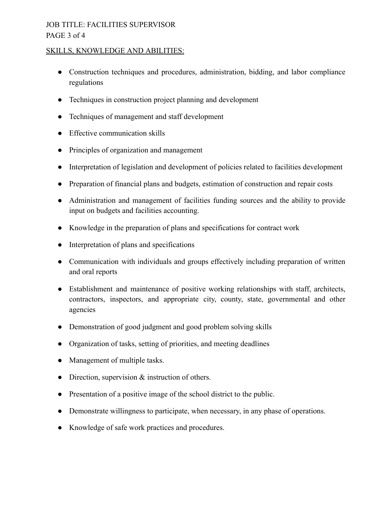# JOB TITLE: FACILITIES SUPERVISOR PAGE 3 of 4

#### SKILLS, KNOWLEDGE AND ABILITIES:

- Construction techniques and procedures, administration, bidding, and labor compliance regulations
- Techniques in construction project planning and development
- Techniques of management and staff development
- Effective communication skills
- Principles of organization and management
- Interpretation of legislation and development of policies related to facilities development
- Preparation of financial plans and budgets, estimation of construction and repair costs
- Administration and management of facilities funding sources and the ability to provide input on budgets and facilities accounting.
- Knowledge in the preparation of plans and specifications for contract work
- Interpretation of plans and specifications
- Communication with individuals and groups effectively including preparation of written and oral reports
- Establishment and maintenance of positive working relationships with staff, architects, contractors, inspectors, and appropriate city, county, state, governmental and other agencies
- Demonstration of good judgment and good problem solving skills
- Organization of tasks, setting of priorities, and meeting deadlines
- Management of multiple tasks.
- Direction, supervision & instruction of others.
- Presentation of a positive image of the school district to the public.
- Demonstrate willingness to participate, when necessary, in any phase of operations.
- Knowledge of safe work practices and procedures.